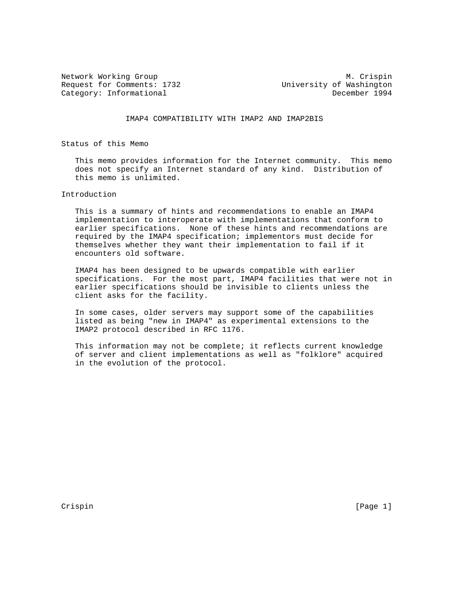Request for Comments: 1732 University of Washington<br>
Category: Informational December 1994 Category: Informational

Network Working Group Metwork Muslim Crispin

IMAP4 COMPATIBILITY WITH IMAP2 AND IMAP2BIS

Status of this Memo

 This memo provides information for the Internet community. This memo does not specify an Internet standard of any kind. Distribution of this memo is unlimited.

## Introduction

 This is a summary of hints and recommendations to enable an IMAP4 implementation to interoperate with implementations that conform to earlier specifications. None of these hints and recommendations are required by the IMAP4 specification; implementors must decide for themselves whether they want their implementation to fail if it encounters old software.

 IMAP4 has been designed to be upwards compatible with earlier specifications. For the most part, IMAP4 facilities that were not in earlier specifications should be invisible to clients unless the client asks for the facility.

 In some cases, older servers may support some of the capabilities listed as being "new in IMAP4" as experimental extensions to the IMAP2 protocol described in RFC 1176.

This information may not be complete; it reflects current knowledge of server and client implementations as well as "folklore" acquired in the evolution of the protocol.

Crispin [Page 1]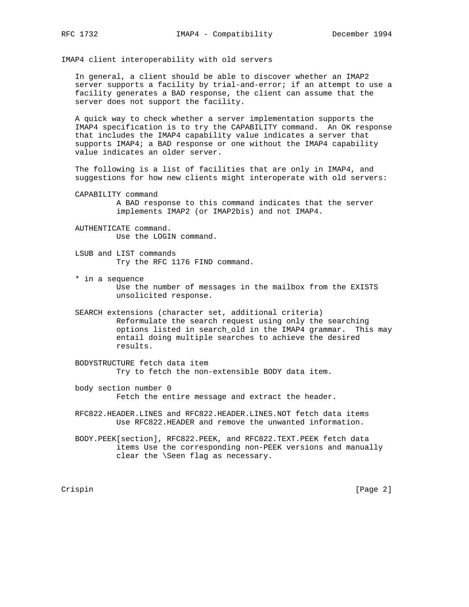IMAP4 client interoperability with old servers

 In general, a client should be able to discover whether an IMAP2 server supports a facility by trial-and-error; if an attempt to use a facility generates a BAD response, the client can assume that the server does not support the facility.

 A quick way to check whether a server implementation supports the IMAP4 specification is to try the CAPABILITY command. An OK response that includes the IMAP4 capability value indicates a server that supports IMAP4; a BAD response or one without the IMAP4 capability value indicates an older server.

 The following is a list of facilities that are only in IMAP4, and suggestions for how new clients might interoperate with old servers:

 CAPABILITY command A BAD response to this command indicates that the server implements IMAP2 (or IMAP2bis) and not IMAP4.

 AUTHENTICATE command. Use the LOGIN command.

 LSUB and LIST commands Try the RFC 1176 FIND command.

 \* in a sequence Use the number of messages in the mailbox from the EXISTS unsolicited response.

 SEARCH extensions (character set, additional criteria) Reformulate the search request using only the searching options listed in search\_old in the IMAP4 grammar. This may entail doing multiple searches to achieve the desired results.

 BODYSTRUCTURE fetch data item Try to fetch the non-extensible BODY data item.

 body section number 0 Fetch the entire message and extract the header.

 RFC822.HEADER.LINES and RFC822.HEADER.LINES.NOT fetch data items Use RFC822.HEADER and remove the unwanted information.

 BODY.PEEK[section], RFC822.PEEK, and RFC822.TEXT.PEEK fetch data items Use the corresponding non-PEEK versions and manually clear the \Seen flag as necessary.

Crispin [Page 2]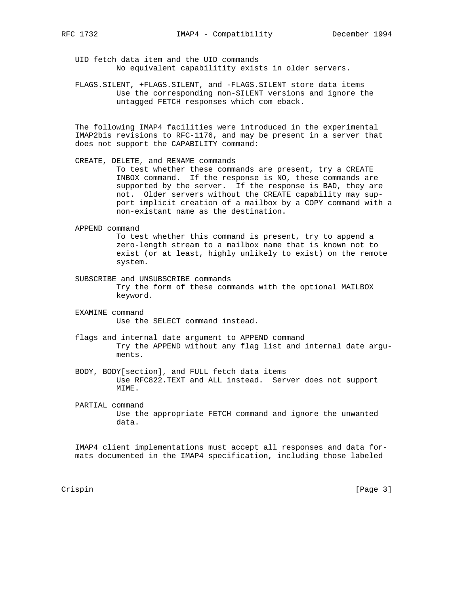UID fetch data item and the UID commands No equivalent capabilitity exists in older servers.

 FLAGS.SILENT, +FLAGS.SILENT, and -FLAGS.SILENT store data items Use the corresponding non-SILENT versions and ignore the untagged FETCH responses which com eback.

 The following IMAP4 facilities were introduced in the experimental IMAP2bis revisions to RFC-1176, and may be present in a server that does not support the CAPABILITY command:

CREATE, DELETE, and RENAME commands

 To test whether these commands are present, try a CREATE INBOX command. If the response is NO, these commands are supported by the server. If the response is BAD, they are not. Older servers without the CREATE capability may sup port implicit creation of a mailbox by a COPY command with a non-existant name as the destination.

APPEND command

 To test whether this command is present, try to append a zero-length stream to a mailbox name that is known not to exist (or at least, highly unlikely to exist) on the remote system.

- SUBSCRIBE and UNSUBSCRIBE commands Try the form of these commands with the optional MAILBOX keyword.
- EXAMINE command Use the SELECT command instead.
- flags and internal date argument to APPEND command Try the APPEND without any flag list and internal date argu ments.
- BODY, BODY[section], and FULL fetch data items Use RFC822.TEXT and ALL instead. Server does not support MIME.
- PARTIAL command Use the appropriate FETCH command and ignore the unwanted data.

 IMAP4 client implementations must accept all responses and data for mats documented in the IMAP4 specification, including those labeled

Crispin [Page 3]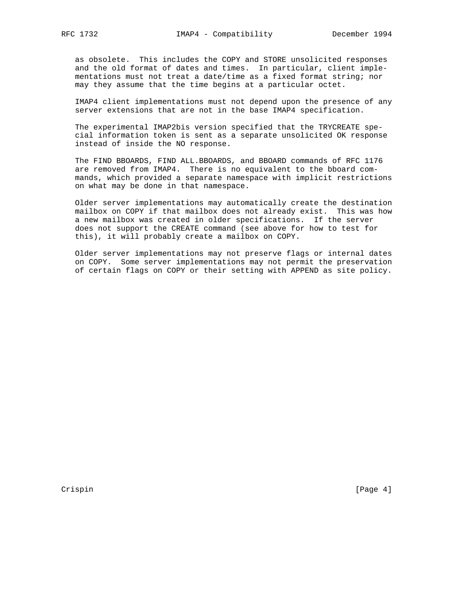as obsolete. This includes the COPY and STORE unsolicited responses and the old format of dates and times. In particular, client imple mentations must not treat a date/time as a fixed format string; nor may they assume that the time begins at a particular octet.

 IMAP4 client implementations must not depend upon the presence of any server extensions that are not in the base IMAP4 specification.

 The experimental IMAP2bis version specified that the TRYCREATE spe cial information token is sent as a separate unsolicited OK response instead of inside the NO response.

 The FIND BBOARDS, FIND ALL.BBOARDS, and BBOARD commands of RFC 1176 are removed from IMAP4. There is no equivalent to the bboard com mands, which provided a separate namespace with implicit restrictions on what may be done in that namespace.

 Older server implementations may automatically create the destination mailbox on COPY if that mailbox does not already exist. This was how a new mailbox was created in older specifications. If the server does not support the CREATE command (see above for how to test for this), it will probably create a mailbox on COPY.

 Older server implementations may not preserve flags or internal dates on COPY. Some server implementations may not permit the preservation of certain flags on COPY or their setting with APPEND as site policy.

Crispin [Page 4]